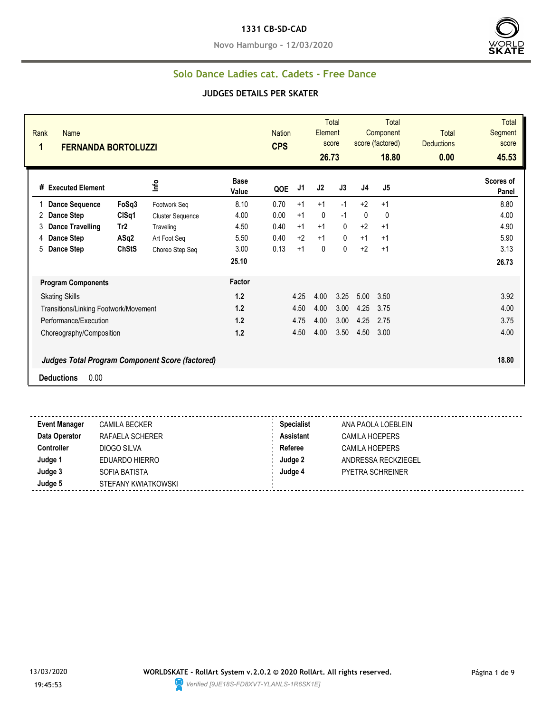#### **1331 CB-SD-CAD**

**Novo Hamburgo - 12/03/2020**



#### **Solo Dance Ladies cat. Cadets - Free Dance**

| Rank<br>Name<br>1<br><b>FERNANDA BORTOLUZZI</b>        |                 |                         |                      | <b>Nation</b><br><b>CPS</b> |                | Element<br>26.73 | <b>Total</b><br>score |                | <b>Total</b><br>Component<br>score (factored)<br>18.80 | <b>Total</b><br><b>Deductions</b><br>0.00 | <b>Total</b><br>Segment<br>score<br>45.53 |
|--------------------------------------------------------|-----------------|-------------------------|----------------------|-----------------------------|----------------|------------------|-----------------------|----------------|--------------------------------------------------------|-------------------------------------------|-------------------------------------------|
| # Executed Element                                     |                 | ١πρ                     | <b>Base</b><br>Value | QOE                         | J <sub>1</sub> | J <sub>2</sub>   | J3                    | J <sub>4</sub> | J <sub>5</sub>                                         |                                           | Scores of<br>Panel                        |
| <b>Dance Sequence</b>                                  | FoSq3           | Footwork Seq            | 8.10                 | 0.70                        | $+1$           | $+1$             | $-1$                  | $+2$           | $+1$                                                   |                                           | 8.80                                      |
| <b>Dance Step</b><br>2                                 | CISq1           | <b>Cluster Sequence</b> | 4.00                 | 0.00                        | $+1$           | $\mathbf{0}$     | $-1$                  | $\mathbf{0}$   | $\mathbf 0$                                            |                                           | 4.00                                      |
| <b>Dance Travelling</b><br>3                           | Tr <sub>2</sub> | Traveling               | 4.50                 | 0.40                        | $+1$           | $+1$             | $\mathbf{0}$          | $+2$           | $+1$                                                   |                                           | 4.90                                      |
| <b>Dance Step</b><br>4                                 | ASq2            | Art Foot Seg            | 5.50                 | 0.40                        | $+2$           | $+1$             | $\mathbf{0}$          | $+1$           | $+1$                                                   |                                           | 5.90                                      |
| 5<br><b>Dance Step</b>                                 | <b>ChStS</b>    | Choreo Step Seq         | 3.00                 | 0.13                        | $+1$           | $\mathbf{0}$     | $\Omega$              | $+2$           | $+1$                                                   |                                           | 3.13                                      |
|                                                        |                 |                         | 25.10                |                             |                |                  |                       |                |                                                        |                                           | 26.73                                     |
| <b>Program Components</b>                              |                 |                         | Factor               |                             |                |                  |                       |                |                                                        |                                           |                                           |
| <b>Skating Skills</b>                                  |                 |                         | 1.2                  |                             | 4.25           | 4.00             | 3.25                  | 5.00           | 3.50                                                   |                                           | 3.92                                      |
| Transitions/Linking Footwork/Movement                  |                 |                         | 1.2                  |                             | 4.50           | 4.00             | 3.00                  | 4.25           | 3.75                                                   |                                           | 4.00                                      |
| Performance/Execution                                  |                 |                         | 1.2                  |                             | 4.75           | 4.00             | 3.00                  | 4.25           | 2.75                                                   |                                           | 3.75                                      |
| Choreography/Composition                               |                 |                         | 1.2                  |                             | 4.50           | 4.00             | 3.50                  | 4.50           | 3.00                                                   |                                           | 4.00                                      |
| <b>Judges Total Program Component Score (factored)</b> |                 |                         |                      |                             |                |                  |                       |                |                                                        |                                           | 18.80                                     |
| <b>Deductions</b><br>0.00                              |                 |                         |                      |                             |                |                  |                       |                |                                                        |                                           |                                           |
|                                                        |                 |                         |                      |                             |                |                  |                       |                |                                                        |                                           |                                           |

| <b>Event Manager</b> | <b>CAMILA BECKER</b> | <b>Specialist</b> | ANA PAOLA LOEBLEIN      |
|----------------------|----------------------|-------------------|-------------------------|
| Data Operator        | RAFAELA SCHERER      | <b>Assistant</b>  | <b>CAMILA HOEPERS</b>   |
| <b>Controller</b>    | DIOGO SILVA          | Referee           | <b>CAMILA HOEPERS</b>   |
| Judge 1              | EDUARDO HIERRO       | Judge 2           | ANDRESSA RECKZIEGEL     |
| Judge 3              | SOFIA BATISTA        | Judge 4           | <b>PYETRA SCHREINER</b> |
| Judge 5              | STEFANY KWIATKOWSKI  |                   |                         |
|                      |                      |                   |                         |

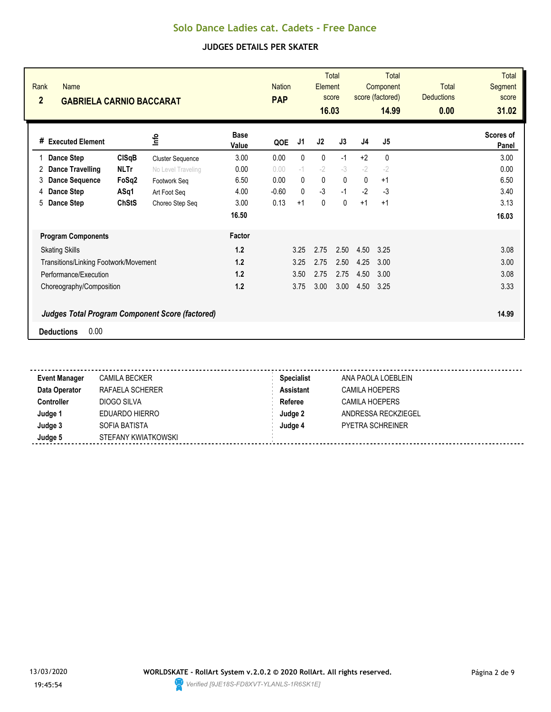| Rank<br><b>Name</b><br>$\overline{2}$<br><b>GABRIELA CARNIO BACCARAT</b> |              | <b>Nation</b><br><b>PAP</b>                            |                      | <b>Total</b><br>Element<br>score<br>16.03 |              | <b>Total</b><br>Component<br>score (factored)<br>14.99 |              | <b>Total</b><br><b>Deductions</b><br>0.00 | <b>Total</b><br>Segment<br>score<br>31.02 |  |                    |
|--------------------------------------------------------------------------|--------------|--------------------------------------------------------|----------------------|-------------------------------------------|--------------|--------------------------------------------------------|--------------|-------------------------------------------|-------------------------------------------|--|--------------------|
| # Executed Element                                                       |              | 울                                                      | <b>Base</b><br>Value | QOE                                       | J1           | J2                                                     | J3           | J4                                        | J <sub>5</sub>                            |  | Scores of<br>Panel |
| Dance Step                                                               | <b>CISqB</b> | <b>Cluster Sequence</b>                                | 3.00                 | 0.00                                      | 0            | 0                                                      | $-1$         | $+2$                                      | $\mathbf{0}$                              |  | 3.00               |
| Dance Travelling<br>2                                                    | <b>NLTr</b>  | No Level Traveling                                     | 0.00                 | 0.00                                      | $-1$         | $-2$                                                   | $-3$         | $-2$                                      | $-2$                                      |  | 0.00               |
| <b>Dance Sequence</b><br>3                                               | FoSq2        | Footwork Seg                                           | 6.50                 | 0.00                                      | $\mathbf{0}$ | 0                                                      | $\mathbf{0}$ | $\mathbf{0}$                              | $+1$                                      |  | 6.50               |
| Dance Step<br>4                                                          | ASq1         | Art Foot Seq                                           | 4.00                 | $-0.60$                                   | $\Omega$     | $-3$                                                   | $-1$         | $-2$                                      | $-3$                                      |  | 3.40               |
| Dance Step<br>5                                                          | <b>ChStS</b> | Choreo Step Seq                                        | 3.00                 | 0.13                                      | $+1$         | $\mathbf{0}$                                           | $\Omega$     | $+1$                                      | $+1$                                      |  | 3.13               |
|                                                                          |              |                                                        | 16.50                |                                           |              |                                                        |              |                                           |                                           |  | 16.03              |
| <b>Program Components</b>                                                |              |                                                        | Factor               |                                           |              |                                                        |              |                                           |                                           |  |                    |
| <b>Skating Skills</b>                                                    |              |                                                        | 1.2                  |                                           | 3.25         | 2.75                                                   | 2.50         | 4.50                                      | 3.25                                      |  | 3.08               |
| Transitions/Linking Footwork/Movement                                    |              |                                                        | 1.2                  |                                           | 3.25         | 2.75                                                   | 2.50         | 4.25                                      | 3.00                                      |  | 3.00               |
| Performance/Execution                                                    |              |                                                        | 1.2                  |                                           | 3.50         | 2.75                                                   | 2.75         | 4.50                                      | 3.00                                      |  | 3.08               |
| Choreography/Composition                                                 |              |                                                        | 1.2                  |                                           | 3.75         | 3.00                                                   | 3.00         | 4.50                                      | 3.25                                      |  | 3.33               |
|                                                                          |              | <b>Judges Total Program Component Score (factored)</b> |                      |                                           |              |                                                        |              |                                           |                                           |  | 14.99              |
| 0.00<br><b>Deductions</b>                                                |              |                                                        |                      |                                           |              |                                                        |              |                                           |                                           |  |                    |

| <b>Event Manager</b> | <b>CAMILA BECKER</b> | <b>Specialist</b> | ANA PAOLA LOEBLEIN    |
|----------------------|----------------------|-------------------|-----------------------|
| Data Operator        | RAFAELA SCHERER      | <b>Assistant</b>  | <b>CAMILA HOEPERS</b> |
| Controller           | DIOGO SILVA          | Referee           | CAMILA HOEPERS        |
| Judge 1              | EDUARDO HIERRO       | Judge 2           | ANDRESSA RECKZIEGEL   |
| Judge 3              | SOFIA BATISTA        | Judge 4           | PYETRA SCHREINER      |
| Judge 5              | STEFANY KWIATKOWSKI  |                   |                       |

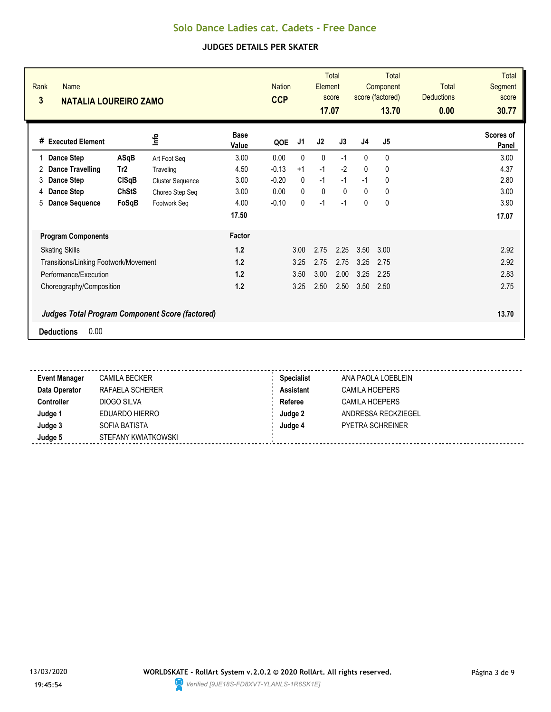| Rank<br><b>Name</b><br>3<br><b>NATALIA LOUREIRO ZAMO</b> |                 | <b>Nation</b><br><b>CCP</b>                            |                      | Element<br>17.07 | <b>Total</b><br>score |      | <b>Total</b><br>Component<br>score (factored)<br>13.70 | <b>Total</b><br><b>Deductions</b><br>0.00 | <b>Total</b><br>Segment<br>score<br>30.77 |  |                    |
|----------------------------------------------------------|-----------------|--------------------------------------------------------|----------------------|------------------|-----------------------|------|--------------------------------------------------------|-------------------------------------------|-------------------------------------------|--|--------------------|
| # Executed Element                                       |                 | 울                                                      | <b>Base</b><br>Value | QOE              | J1                    | J2   | J3                                                     | J <sub>4</sub>                            | J <sub>5</sub>                            |  | Scores of<br>Panel |
| Dance Step                                               | ASqB            | Art Foot Seq                                           | 3.00                 | 0.00             | $\mathbf{0}$          | 0    | $-1$                                                   | $\mathbf{0}$                              | $\mathbf{0}$                              |  | 3.00               |
| Dance Travelling<br>2                                    | Tr <sub>2</sub> | Traveling                                              | 4.50                 | $-0.13$          | $+1$                  | $-1$ | $-2$                                                   | $\mathbf{0}$                              | $\mathbf{0}$                              |  | 4.37               |
| Dance Step<br>3                                          | CISqB           | <b>Cluster Sequence</b>                                | 3.00                 | $-0.20$          | $\mathbf{0}$          | $-1$ | $-1$                                                   | $-1$                                      | 0                                         |  | 2.80               |
| Dance Step<br>4                                          | <b>ChStS</b>    | Choreo Step Seq                                        | 3.00                 | 0.00             | $\Omega$              | 0    | $\Omega$                                               | $\mathbf{0}$                              | 0                                         |  | 3.00               |
| <b>Dance Sequence</b><br>5                               | FoSqB           | Footwork Seq                                           | 4.00                 | $-0.10$          | $\mathbf{0}$          | $-1$ | $-1$                                                   | $\mathbf{0}$                              | $\mathbf 0$                               |  | 3.90               |
|                                                          |                 |                                                        | 17.50                |                  |                       |      |                                                        |                                           |                                           |  | 17.07              |
| <b>Program Components</b>                                |                 |                                                        | Factor               |                  |                       |      |                                                        |                                           |                                           |  |                    |
| <b>Skating Skills</b>                                    |                 |                                                        | 1.2                  |                  | 3.00                  | 2.75 | 2.25                                                   | 3.50                                      | 3.00                                      |  | 2.92               |
| Transitions/Linking Footwork/Movement                    |                 |                                                        | 1.2                  |                  | 3.25                  | 2.75 | 2.75                                                   | 3.25                                      | 2.75                                      |  | 2.92               |
| Performance/Execution                                    |                 |                                                        | 1.2                  |                  | 3.50                  | 3.00 | 2.00                                                   | 3.25                                      | 2.25                                      |  | 2.83               |
| Choreography/Composition                                 |                 |                                                        | 1.2                  |                  | 3.25                  | 2.50 | 2.50                                                   | 3.50                                      | 2.50                                      |  | 2.75               |
|                                                          |                 | <b>Judges Total Program Component Score (factored)</b> |                      |                  |                       |      |                                                        |                                           |                                           |  | 13.70              |
| <b>Deductions</b>                                        | 0.00            |                                                        |                      |                  |                       |      |                                                        |                                           |                                           |  |                    |

| <b>Event Manager</b> | <b>CAMILA BECKER</b> | <b>Specialist</b> | ANA PAOLA LOEBLEIN    |
|----------------------|----------------------|-------------------|-----------------------|
| Data Operator        | RAFAELA SCHERER      | <b>Assistant</b>  | <b>CAMILA HOEPERS</b> |
| Controller           | DIOGO SILVA          | Referee           | CAMILA HOEPERS        |
| Judge 1              | EDUARDO HIERRO       | Judge 2           | ANDRESSA RECKZIEGEL   |
| Judge 3              | SOFIA BATISTA        | Judge 4           | PYETRA SCHREINER      |
| Judge 5              | STEFANY KWIATKOWSKI  |                   |                       |

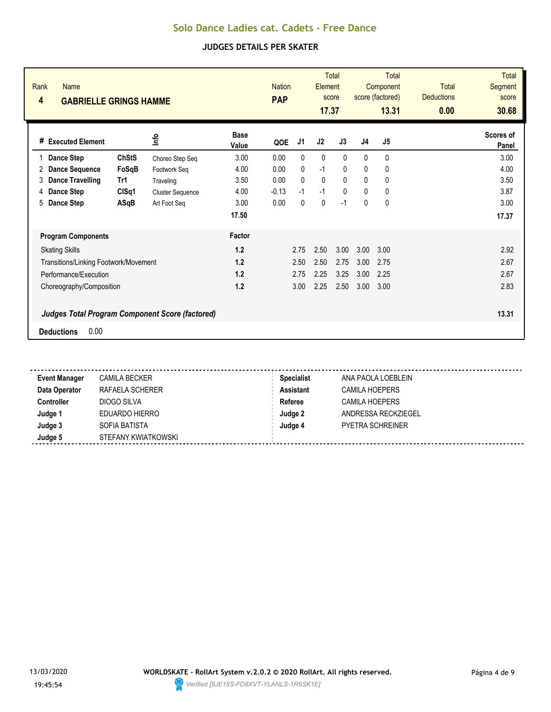| Rank<br>4 | <b>Name</b><br><b>GABRIELLE GRINGS HAMME</b> |              | <b>Nation</b><br><b>PAP</b>                            |                      | Element<br>17.37 | <b>Total</b><br>score |              | <b>Total</b><br>Component<br>score (factored)<br>13.31 | <b>Total</b><br><b>Deductions</b><br>0.00 | <b>Total</b><br>Segment<br>score<br>30.68 |  |                    |
|-----------|----------------------------------------------|--------------|--------------------------------------------------------|----------------------|------------------|-----------------------|--------------|--------------------------------------------------------|-------------------------------------------|-------------------------------------------|--|--------------------|
|           | # Executed Element                           |              | lnfo                                                   | <b>Base</b><br>Value | QOE              | J1                    | J2           | J3                                                     | J <sub>4</sub>                            | J <sub>5</sub>                            |  | Scores of<br>Panel |
|           | <b>Dance Step</b>                            | <b>ChStS</b> | Choreo Step Seq                                        | 3.00                 | 0.00             | 0                     | 0            | $\Omega$                                               | $\mathbf{0}$                              | 0                                         |  | 3.00               |
| 2         | <b>Dance Sequence</b>                        | FoSqB        | Footwork Seg                                           | 4.00                 | 0.00             | 0                     | $-1$         | $\mathbf{0}$                                           | 0                                         | 0                                         |  | 4.00               |
| 3         | Dance Travelling                             | Tr1          | Traveling                                              | 3.50                 | 0.00             | $\mathbf{0}$          | $\mathbf{0}$ | $\mathbf{0}$                                           | $\mathbf{0}$                              | 0                                         |  | 3.50               |
| 4         | <b>Dance Step</b>                            | CISq1        | <b>Cluster Sequence</b>                                | 4.00                 | $-0.13$          | $-1$                  | $-1$         | $\mathbf{0}$                                           | $\mathbf{0}$                              | 0                                         |  | 3.87               |
| 5         | Dance Step                                   | ASqB         | Art Foot Seq                                           | 3.00                 | 0.00             | $\mathbf{0}$          | 0            | $-1$                                                   | 0                                         | $\mathbf 0$                               |  | 3.00               |
|           |                                              |              |                                                        | 17.50                |                  |                       |              |                                                        |                                           |                                           |  | 17.37              |
|           | <b>Program Components</b>                    |              |                                                        | Factor               |                  |                       |              |                                                        |                                           |                                           |  |                    |
|           | <b>Skating Skills</b>                        |              |                                                        | 1.2                  |                  | 2.75                  | 2.50         | 3.00                                                   | 3.00                                      | 3.00                                      |  | 2.92               |
|           | Transitions/Linking Footwork/Movement        |              |                                                        | 1.2                  |                  | 2.50                  | 2.50         | 2.75                                                   | 3.00                                      | 2.75                                      |  | 2.67               |
|           | Performance/Execution                        |              |                                                        | 1.2                  |                  | 2.75                  | 2.25         | 3.25                                                   | 3.00                                      | 2.25                                      |  | 2.67               |
|           | Choreography/Composition                     |              |                                                        | 1.2                  |                  | 3.00                  | 2.25         | 2.50                                                   | 3.00                                      | 3.00                                      |  | 2.83               |
|           | 0.00<br><b>Deductions</b>                    |              | <b>Judges Total Program Component Score (factored)</b> |                      |                  |                       |              |                                                        |                                           |                                           |  | 13.31              |

| <b>Event Manager</b> | CAMILA BECKER       | <b>Specialist</b> | ANA PAOLA LOEBLEIN    |
|----------------------|---------------------|-------------------|-----------------------|
| Data Operator        | RAFAELA SCHERER     | <b>Assistant</b>  | <b>CAMILA HOEPERS</b> |
| Controller           | DIOGO SILVA         | Referee           | CAMILA HOEPERS        |
| Judge 1              | EDUARDO HIERRO      | Judge 2           | ANDRESSA RECKZIEGEL   |
| Judge 3              | SOFIA BATISTA       | Judge 4           | PYETRA SCHREINER      |
| Judge 5              | STEFANY KWIATKOWSKI |                   |                       |

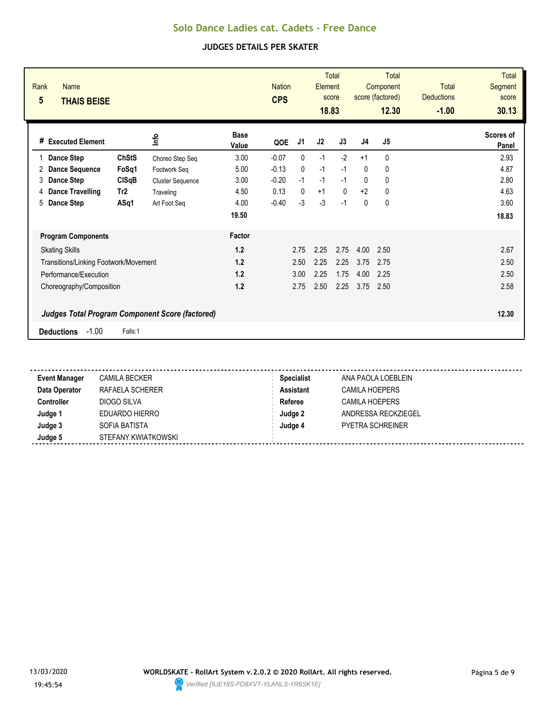| Rank<br><b>Name</b><br>$5\phantom{.0}$<br><b>THAIS BEISE</b> |                 |                         |                      | <b>Nation</b><br><b>CPS</b> |              | Element<br>18.83 | <b>Total</b><br>score |              | <b>Total</b><br>Component<br>score (factored)<br>12.30 | <b>Total</b><br><b>Deductions</b><br>$-1.00$ | <b>Total</b><br>Segment<br>score<br>30.13 |
|--------------------------------------------------------------|-----------------|-------------------------|----------------------|-----------------------------|--------------|------------------|-----------------------|--------------|--------------------------------------------------------|----------------------------------------------|-------------------------------------------|
| <b>Executed Element</b><br>#                                 |                 | lnfo                    | <b>Base</b><br>Value | QOE                         | J1           | J2               | J3                    | J4           | J5                                                     |                                              | Scores of<br>Panel                        |
| Dance Step                                                   | <b>ChStS</b>    | Choreo Step Seq         | 3.00                 | $-0.07$                     | $\mathbf{0}$ | $-1$             | $-2$                  | $+1$         | 0                                                      |                                              | 2.93                                      |
| <b>Dance Sequence</b><br>2                                   | FoSq1           | Footwork Seg            | 5.00                 | $-0.13$                     | $\mathbf{0}$ | $-1$             | $-1$                  | $\mathbf{0}$ | 0                                                      |                                              | 4.87                                      |
| Dance Step<br>3                                              | CISqB           | <b>Cluster Sequence</b> | 3.00                 | $-0.20$                     | $-1$         | $-1$             | $-1$                  | $\mathbf{0}$ | 0                                                      |                                              | 2.80                                      |
| <b>Dance Travelling</b><br>4                                 | Tr <sub>2</sub> | Traveling               | 4.50                 | 0.13                        | $\mathbf{0}$ | $+1$             | $\mathbf{0}$          | $+2$         | $\mathbf 0$                                            |                                              | 4.63                                      |
| Dance Step<br>5                                              | ASq1            | Art Foot Seg            | 4.00                 | $-0.40$                     | $-3$         | $-3$             | $-1$                  | $\mathbf{0}$ | $\mathbf 0$                                            |                                              | 3.60                                      |
|                                                              |                 |                         | 19.50                |                             |              |                  |                       |              |                                                        |                                              | 18.83                                     |
| <b>Program Components</b>                                    |                 |                         | Factor               |                             |              |                  |                       |              |                                                        |                                              |                                           |
| <b>Skating Skills</b>                                        |                 |                         | 1.2                  |                             | 2.75         | 2.25             | 2.75                  | 4.00         | 2.50                                                   |                                              | 2.67                                      |
| Transitions/Linking Footwork/Movement                        |                 |                         | 1.2                  |                             | 2.50         | 2.25             | 2.25                  | 3.75         | 2.75                                                   |                                              | 2.50                                      |
| Performance/Execution                                        |                 |                         | 1.2                  |                             | 3.00         | 2.25             | 1.75                  | 4.00         | 2.25                                                   |                                              | 2.50                                      |
| Choreography/Composition                                     |                 |                         | 1.2                  |                             | 2.75         | 2.50             | 2.25                  | 3.75         | 2.50                                                   |                                              | 2.58                                      |
| <b>Judges Total Program Component Score (factored)</b>       |                 |                         |                      |                             |              |                  |                       |              |                                                        |                                              | 12.30                                     |
| $-1.00$<br><b>Deductions</b>                                 | Falls:1         |                         |                      |                             |              |                  |                       |              |                                                        |                                              |                                           |

| <b>Event Manager</b> | CAMILA BECKER       | <b>Specialist</b> | ANA PAOLA LOEBLEIN  |
|----------------------|---------------------|-------------------|---------------------|
| Data Operator        | RAFAELA SCHERER     | <b>Assistant</b>  | CAMILA HOEPERS      |
| Controller           | DIOGO SILVA         | Referee           | CAMILA HOEPERS      |
| Judge 1              | EDUARDO HIERRO      | Judge 2           | ANDRESSA RECKZIEGEL |
| Judge 3              | SOFIA BATISTA       | Judge 4           | PYETRA SCHREINER    |
| Judge 5              | STEFANY KWIATKOWSKI |                   |                     |

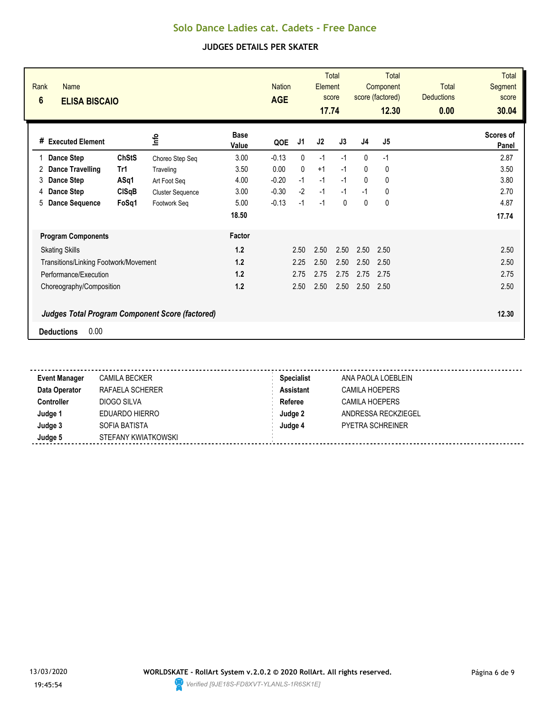| Rank<br><b>Name</b><br>$6\phantom{1}$<br><b>ELISA BISCAIO</b>                       |              |                         |                      | <b>Nation</b><br><b>AGE</b> |              | Element<br>17.74 | <b>Total</b><br>score |                | Total<br>Component<br>score (factored)<br>12.30 | <b>Total</b><br><b>Deductions</b><br>0.00 | <b>Total</b><br>Segment<br>score<br>30.04 |
|-------------------------------------------------------------------------------------|--------------|-------------------------|----------------------|-----------------------------|--------------|------------------|-----------------------|----------------|-------------------------------------------------|-------------------------------------------|-------------------------------------------|
| <b>Executed Element</b><br>#                                                        |              | lnfo                    | <b>Base</b><br>Value | QOE                         | J1           | J <sub>2</sub>   | J3                    | J <sub>4</sub> | J <sub>5</sub>                                  |                                           | Scores of<br>Panel                        |
| <b>Dance Step</b>                                                                   | <b>ChStS</b> | Choreo Step Seq         | 3.00                 | $-0.13$                     | 0            | $-1$             | $-1$                  | $\mathbf{0}$   | $-1$                                            |                                           | 2.87                                      |
| <b>Dance Travelling</b><br>2                                                        | Tr1          | Traveling               | 3.50                 | 0.00                        | $\mathbf{0}$ | $+1$             | $-1$                  | 0              | 0                                               |                                           | 3.50                                      |
| Dance Step<br>3                                                                     | ASq1         | Art Foot Seg            | 4.00                 | $-0.20$                     | $-1$         | $-1$             | $-1$                  | 0              | 0                                               |                                           | 3.80                                      |
| Dance Step<br>4                                                                     | CISqB        | <b>Cluster Sequence</b> | 3.00                 | $-0.30$                     | $-2$         | $-1$             | $-1$                  | $-1$           | 0                                               |                                           | 2.70                                      |
| <b>Dance Sequence</b><br>5                                                          | FoSq1        | Footwork Seg            | 5.00                 | $-0.13$                     | $-1$         | $-1$             | $\Omega$              | 0              | 0                                               |                                           | 4.87                                      |
|                                                                                     |              |                         | 18.50                |                             |              |                  |                       |                |                                                 |                                           | 17.74                                     |
| <b>Program Components</b>                                                           |              |                         | Factor               |                             |              |                  |                       |                |                                                 |                                           |                                           |
| <b>Skating Skills</b>                                                               |              |                         | 1.2                  |                             | 2.50         | 2.50             | 2.50                  | 2.50           | 2.50                                            |                                           | 2.50                                      |
| Transitions/Linking Footwork/Movement                                               |              |                         | 1.2                  |                             | 2.25         | 2.50             | 2.50                  | 2.50           | 2.50                                            |                                           | 2.50                                      |
| Performance/Execution                                                               |              |                         | 1.2                  |                             | 2.75         | 2.75             | 2.75                  | 2.75           | 2.75                                            |                                           | 2.75                                      |
| Choreography/Composition                                                            |              |                         | 1.2                  |                             | 2.50         | 2.50             | 2.50                  | 2.50           | 2.50                                            |                                           | 2.50                                      |
| <b>Judges Total Program Component Score (factored)</b><br>0.00<br><b>Deductions</b> |              |                         |                      |                             |              |                  |                       |                |                                                 |                                           | 12.30                                     |

| <b>Event Manager</b> | <b>CAMILA BECKER</b> | <b>Specialist</b> | ANA PAOLA LOEBLEIN      |  |
|----------------------|----------------------|-------------------|-------------------------|--|
| Data Operator        | RAFAELA SCHERER      | <b>Assistant</b>  | CAMILA HOEPERS          |  |
| Controller           | DIOGO SILVA          | Referee           | CAMILA HOEPERS          |  |
| Judge 1              | EDUARDO HIERRO       | Judge 2           | ANDRESSA RECKZIEGEL     |  |
| Judge 3              | SOFIA BATISTA        | Judge 4           | <b>PYETRA SCHREINER</b> |  |
| Judge 5              | STEFANY KWIATKOWSKI  |                   |                         |  |

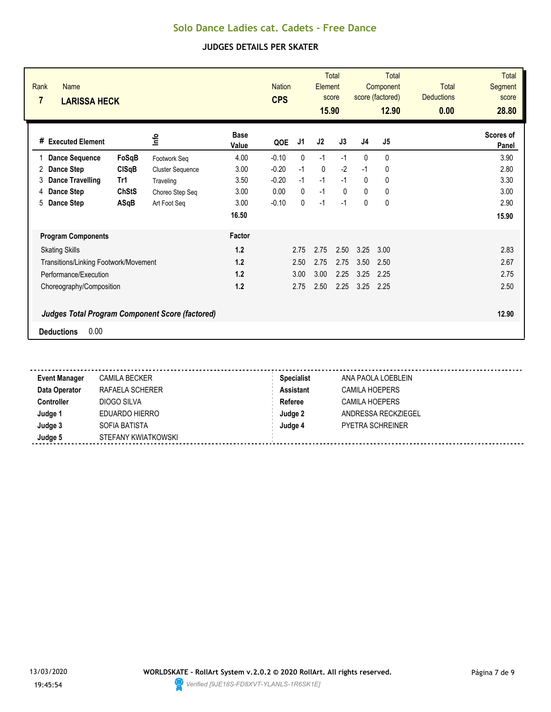| Rank<br><b>Name</b><br>7<br><b>LARISSA HECK</b> |                                                        |                      | <b>Nation</b><br><b>CPS</b> |              | Element<br>15.90 | <b>Total</b><br>score |          | <b>Total</b><br>Component<br>score (factored)<br>12.90 | <b>Total</b><br><b>Deductions</b><br>0.00 | <b>Total</b><br>Segment<br>score<br>28.80 |
|-------------------------------------------------|--------------------------------------------------------|----------------------|-----------------------------|--------------|------------------|-----------------------|----------|--------------------------------------------------------|-------------------------------------------|-------------------------------------------|
| <b>Executed Element</b><br>#                    | lnfo                                                   | <b>Base</b><br>Value | QOE                         | J1           | J2               | J3                    | J4       | J <sub>5</sub>                                         |                                           | Scores of<br>Panel                        |
| <b>Dance Sequence</b>                           | FoSqB<br>Footwork Seq                                  | 4.00                 | $-0.10$                     | $\mathbf{0}$ | $-1$             | $-1$                  | 0        | 0                                                      |                                           | 3.90                                      |
| Dance Step<br>2                                 | <b>CISqB</b><br><b>Cluster Sequence</b>                | 3.00                 | $-0.20$                     | $-1$         | $\mathbf{0}$     | $-2$                  | $-1$     | 0                                                      |                                           | 2.80                                      |
| <b>Dance Travelling</b><br>Tr1<br>3             | Traveling                                              | 3.50                 | $-0.20$                     | $-1$         | $-1$             | $-1$                  | $\Omega$ | 0                                                      |                                           | 3.30                                      |
| Dance Step<br>4                                 | <b>ChStS</b><br>Choreo Step Seq                        | 3.00                 | 0.00                        | $\Omega$     | $-1$             | $\Omega$              | $\Omega$ | 0                                                      |                                           | 3.00                                      |
| 5<br>Dance Step                                 | ASqB<br>Art Foot Seg                                   | 3.00                 | $-0.10$                     | $\mathbf{0}$ | $-1$             | $-1$                  | 0        | 0                                                      |                                           | 2.90                                      |
|                                                 |                                                        | 16.50                |                             |              |                  |                       |          |                                                        |                                           | 15.90                                     |
| <b>Program Components</b>                       |                                                        | Factor               |                             |              |                  |                       |          |                                                        |                                           |                                           |
| <b>Skating Skills</b>                           |                                                        | 1.2                  |                             | 2.75         | 2.75             | 2.50                  | 3.25     | 3.00                                                   |                                           | 2.83                                      |
| Transitions/Linking Footwork/Movement           |                                                        | 1.2                  |                             | 2.50         | 2.75             | 2.75                  | 3.50     | 2.50                                                   |                                           | 2.67                                      |
| Performance/Execution                           |                                                        | 1.2                  |                             | 3.00         | 3.00             | 2.25                  | 3.25     | 2.25                                                   |                                           | 2.75                                      |
| Choreography/Composition                        |                                                        | 1.2                  |                             | 2.75         | 2.50             | 2.25                  | 3.25     | 2.25                                                   |                                           | 2.50                                      |
| 0.00<br><b>Deductions</b>                       | <b>Judges Total Program Component Score (factored)</b> |                      |                             |              |                  |                       |          |                                                        |                                           | 12.90                                     |

| <b>Event Manager</b> | <b>CAMILA BECKER</b> | <b>Specialist</b> | ANA PAOLA LOEBLEIN    |
|----------------------|----------------------|-------------------|-----------------------|
| Data Operator        | RAFAELA SCHERER      | <b>Assistant</b>  | <b>CAMILA HOEPERS</b> |
| Controller           | DIOGO SILVA          | Referee           | CAMILA HOEPERS        |
| Judge 1              | EDUARDO HIERRO       | Judge 2           | ANDRESSA RECKZIEGEL   |
| Judge 3              | SOFIA BATISTA        | Judge 4           | PYETRA SCHREINER      |
| Judge 5              | STEFANY KWIATKOWSKI  |                   |                       |

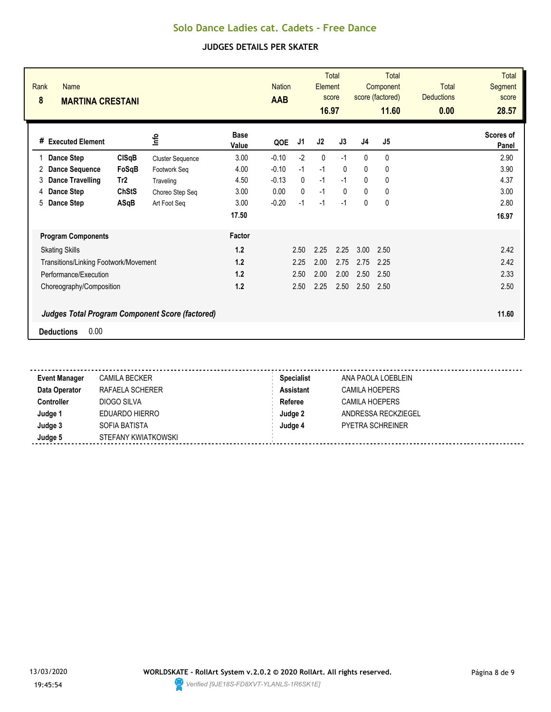| Rank<br><b>Name</b><br>8<br><b>MARTINA CRESTANI</b> |                 |                                                        |                      | <b>Nation</b><br>AAB |              | Element<br>16.97 | <b>Total</b><br>score |              | Total<br>Component<br>score (factored)<br>11.60 | <b>Total</b><br><b>Deductions</b><br>0.00 | <b>Total</b><br>Segment<br>score<br>28.57 |
|-----------------------------------------------------|-----------------|--------------------------------------------------------|----------------------|----------------------|--------------|------------------|-----------------------|--------------|-------------------------------------------------|-------------------------------------------|-------------------------------------------|
| # Executed Element                                  |                 | lnfo                                                   | <b>Base</b><br>Value | QOE                  | J1           | J2               | J3                    | J4           | J <sub>5</sub>                                  |                                           | Scores of<br>Panel                        |
| Dance Step                                          | <b>CISqB</b>    | <b>Cluster Sequence</b>                                | 3.00                 | $-0.10$              | $-2$         | $\mathbf{0}$     | $-1$                  | $\mathbf{0}$ | 0                                               |                                           | 2.90                                      |
| <b>Dance Sequence</b><br>2                          | FoSqB           | Footwork Seg                                           | 4.00                 | $-0.10$              | $-1$         | $-1$             | $\mathbf{0}$          | 0            | 0                                               |                                           | 3.90                                      |
| <b>Dance Travelling</b><br>3                        | Tr <sub>2</sub> | Traveling                                              | 4.50                 | $-0.13$              | $\mathbf{0}$ | $-1$             | $-1$                  | $\Omega$     | 0                                               |                                           | 4.37                                      |
| <b>Dance Step</b><br>4                              | <b>ChStS</b>    | Choreo Step Seq                                        | 3.00                 | 0.00                 | $\Omega$     | $-1$             | $\Omega$              | $\Omega$     | 0                                               |                                           | 3.00                                      |
| <b>Dance Step</b><br>5                              | ASqB            | Art Foot Seg                                           | 3.00                 | $-0.20$              | $-1$         | $-1$             | $-1$                  | 0            | 0                                               |                                           | 2.80                                      |
|                                                     |                 |                                                        | 17.50                |                      |              |                  |                       |              |                                                 |                                           | 16.97                                     |
| <b>Program Components</b>                           |                 |                                                        | Factor               |                      |              |                  |                       |              |                                                 |                                           |                                           |
| <b>Skating Skills</b>                               |                 |                                                        | 1.2                  |                      | 2.50         | 2.25             | 2.25                  | 3.00         | 2.50                                            |                                           | 2.42                                      |
| Transitions/Linking Footwork/Movement               |                 |                                                        | 1.2                  |                      | 2.25         | 2.00             | 2.75                  | 2.75         | 2.25                                            |                                           | 2.42                                      |
| Performance/Execution                               |                 |                                                        | 1.2                  |                      | 2.50         | 2.00             | 2.00                  | 2.50         | 2.50                                            |                                           | 2.33                                      |
| Choreography/Composition                            |                 |                                                        | 1.2                  |                      | 2.50         | 2.25             | 2.50                  | 2.50         | 2.50                                            |                                           | 2.50                                      |
|                                                     |                 | <b>Judges Total Program Component Score (factored)</b> |                      |                      |              |                  |                       |              |                                                 |                                           | 11.60                                     |
| 0.00<br><b>Deductions</b>                           |                 |                                                        |                      |                      |              |                  |                       |              |                                                 |                                           |                                           |

| <b>Event Manager</b> | CAMILA BECKER       | <b>Specialist</b> | ANA PAOLA LOEBLEIN      |
|----------------------|---------------------|-------------------|-------------------------|
| Data Operator        | RAFAELA SCHERER     | <b>Assistant</b>  | CAMILA HOEPERS          |
| Controller           | DIOGO SILVA         | Referee           | <b>CAMILA HOEPERS</b>   |
| Judge 1              | EDUARDO HIERRO      | Judge 2           | ANDRESSA RECKZIEGEL     |
| Judge 3              | SOFIA BATISTA       | Judge 4           | <b>PYETRA SCHREINER</b> |
| Judge 5              | STEFANY KWIATKOWSKI |                   |                         |